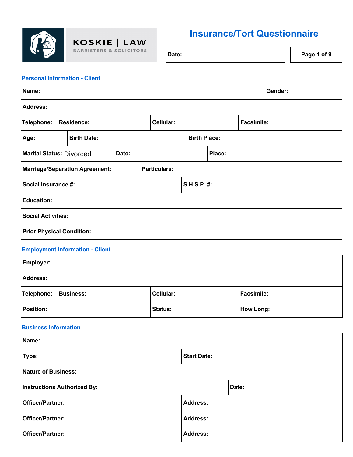

KOSKIE | LAW **BARRISTERS & SOLICITORS** 

## **Insurance/Tort Questionnaire**

| Date: |  | $\vert$ Page 1 of 9 |
|-------|--|---------------------|
|-------|--|---------------------|

| <b>Personal Information - Client</b> |                                        |       |                     |                     |        |       |                   |         |
|--------------------------------------|----------------------------------------|-------|---------------------|---------------------|--------|-------|-------------------|---------|
| Name:                                |                                        |       |                     |                     |        |       |                   | Gender: |
| <b>Address:</b>                      |                                        |       |                     |                     |        |       |                   |         |
| Telephone:                           | <b>Residence:</b>                      |       | Cellular:           |                     |        |       | <b>Facsimile:</b> |         |
| Age:                                 | <b>Birth Date:</b>                     |       |                     | <b>Birth Place:</b> |        |       |                   |         |
| <b>Marital Status: Divorced</b>      |                                        | Date: |                     |                     | Place: |       |                   |         |
|                                      | <b>Marriage/Separation Agreement:</b>  |       | <b>Particulars:</b> |                     |        |       |                   |         |
| Social Insurance #:                  |                                        |       |                     | S.H.S.P. #:         |        |       |                   |         |
| <b>Education:</b>                    |                                        |       |                     |                     |        |       |                   |         |
| <b>Social Activities:</b>            |                                        |       |                     |                     |        |       |                   |         |
| <b>Prior Physical Condition:</b>     |                                        |       |                     |                     |        |       |                   |         |
|                                      | <b>Employment Information - Client</b> |       |                     |                     |        |       |                   |         |
| Employer:                            |                                        |       |                     |                     |        |       |                   |         |
| <b>Address:</b>                      |                                        |       |                     |                     |        |       |                   |         |
| Telephone:                           | <b>Business:</b>                       |       | Cellular:           |                     |        |       | <b>Facsimile:</b> |         |
| <b>Position:</b>                     |                                        |       | Status:             |                     |        |       | <b>How Long:</b>  |         |
| <b>Business Information</b>          |                                        |       |                     |                     |        |       |                   |         |
| Name:                                |                                        |       |                     |                     |        |       |                   |         |
| Type:                                |                                        |       |                     | <b>Start Date:</b>  |        |       |                   |         |
| <b>Nature of Business:</b>           |                                        |       |                     |                     |        |       |                   |         |
| <b>Instructions Authorized By:</b>   |                                        |       |                     |                     |        | Date: |                   |         |
| <b>Officer/Partner:</b>              |                                        |       |                     | <b>Address:</b>     |        |       |                   |         |
| Officer/Partner:                     |                                        |       |                     | <b>Address:</b>     |        |       |                   |         |

**Officer/Partner: Address:**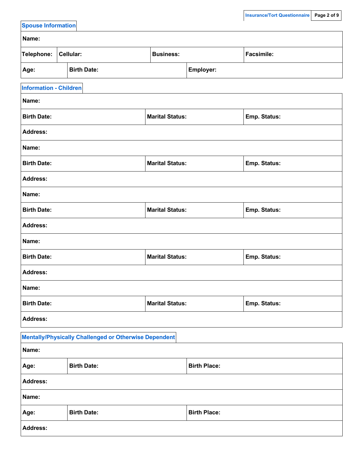| <b>Spouse Information</b>     |                                                              |                        |                     |                     |
|-------------------------------|--------------------------------------------------------------|------------------------|---------------------|---------------------|
| Name:                         |                                                              |                        |                     |                     |
| Telephone:                    | Cellular:                                                    | <b>Business:</b>       |                     | <b>Facsimile:</b>   |
| Age:                          | <b>Birth Date:</b>                                           |                        | Employer:           |                     |
| <b>Information - Children</b> |                                                              |                        |                     |                     |
| Name:                         |                                                              |                        |                     |                     |
| <b>Birth Date:</b>            |                                                              | <b>Marital Status:</b> |                     | <b>Emp. Status:</b> |
| <b>Address:</b>               |                                                              |                        |                     |                     |
| Name:                         |                                                              |                        |                     |                     |
| <b>Birth Date:</b>            |                                                              | <b>Marital Status:</b> |                     | <b>Emp. Status:</b> |
| <b>Address:</b>               |                                                              |                        |                     |                     |
| Name:                         |                                                              |                        |                     |                     |
| <b>Birth Date:</b>            |                                                              | <b>Marital Status:</b> |                     | Emp. Status:        |
| <b>Address:</b>               |                                                              |                        |                     |                     |
| Name:                         |                                                              |                        |                     |                     |
| <b>Birth Date:</b>            |                                                              | <b>Marital Status:</b> |                     | <b>Emp. Status:</b> |
| <b>Address:</b>               |                                                              |                        |                     |                     |
| Name:                         |                                                              |                        |                     |                     |
| <b>Birth Date:</b>            |                                                              | <b>Marital Status:</b> |                     | <b>Emp. Status:</b> |
| <b>Address:</b>               |                                                              |                        |                     |                     |
|                               | <b>Mentally/Physically Challenged or Otherwise Dependent</b> |                        |                     |                     |
| Name:                         |                                                              |                        |                     |                     |
| Age:                          | <b>Birth Date:</b>                                           |                        | <b>Birth Place:</b> |                     |
| <b>Address:</b>               |                                                              |                        |                     |                     |
| Name:                         |                                                              |                        |                     |                     |
| Age:                          | <b>Birth Date:</b>                                           |                        | <b>Birth Place:</b> |                     |
| Address:                      |                                                              |                        |                     |                     |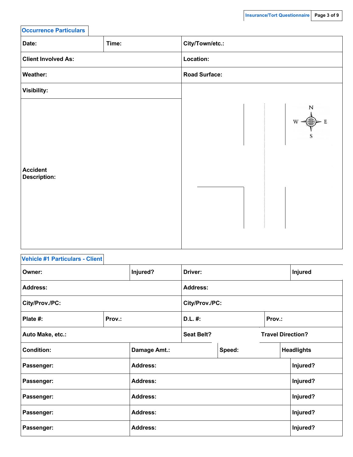| <b>Occurrence Particulars</b>          |       |                                                       |
|----------------------------------------|-------|-------------------------------------------------------|
| Date:                                  | Time: | City/Town/etc.:                                       |
| <b>Client Involved As:</b>             |       | Location:                                             |
| <b>Weather:</b>                        |       | <b>Road Surface:</b>                                  |
| <b>Visibility:</b>                     |       |                                                       |
| <b>Accident</b><br><b>Description:</b> |       | N<br>$W \leftarrow \bigoplus_{\mathbf{V}} \mathbf{E}$ |

| <b>Vehicle #1 Particulars - Client</b> |        |                 |                   |        |        |                          |
|----------------------------------------|--------|-----------------|-------------------|--------|--------|--------------------------|
| Owner:                                 |        | Injured?        | Driver:           |        |        | <b>Injured</b>           |
| <b>Address:</b>                        |        |                 | <b>Address:</b>   |        |        |                          |
| City/Prov./PC:                         |        |                 | City/Prov./PC:    |        |        |                          |
| Plate #:                               | Prov.: |                 | $D.L.$ #:         |        | Prov.: |                          |
| Auto Make, etc.:                       |        |                 | <b>Seat Belt?</b> |        |        | <b>Travel Direction?</b> |
| <b>Condition:</b>                      |        | Damage Amt.:    |                   | Speed: |        | <b>Headlights</b>        |
| Passenger:                             |        | <b>Address:</b> |                   |        |        | Injured?                 |
| Passenger:                             |        | <b>Address:</b> |                   |        |        | Injured?                 |
| Passenger:                             |        | <b>Address:</b> |                   |        |        | Injured?                 |
| Passenger:                             |        | <b>Address:</b> |                   |        |        | Injured?                 |
| Passenger:                             |        | <b>Address:</b> |                   |        |        | Injured?                 |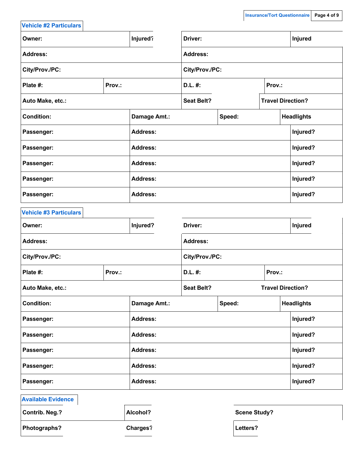| <b>Vehicle #2 Particulars</b> |        |                 |                   |        |        |                          |
|-------------------------------|--------|-----------------|-------------------|--------|--------|--------------------------|
| Owner:                        |        | Injured?        | Driver:           |        |        | Injured                  |
| <b>Address:</b>               |        |                 | <b>Address:</b>   |        |        |                          |
| City/Prov./PC:                |        |                 | City/Prov./PC:    |        |        |                          |
| Plate #:                      | Prov.: |                 | D.L. #:           |        | Prov.: |                          |
| Auto Make, etc.:              |        |                 | <b>Seat Belt?</b> |        |        | <b>Travel Direction?</b> |
| <b>Condition:</b>             |        | Damage Amt.:    |                   | Speed: |        | <b>Headlights</b>        |
| Passenger:                    |        | <b>Address:</b> |                   |        |        | Injured?                 |
| Passenger:                    |        | <b>Address:</b> |                   |        |        | Injured?                 |
| Passenger:                    |        | <b>Address:</b> |                   |        |        | Injured?                 |
| Passenger:                    |        | <b>Address:</b> |                   |        |        | Injured?                 |
| Passenger:                    |        | <b>Address:</b> |                   |        |        | Injured?                 |
| <b>Vehicle #3 Particulars</b> |        |                 |                   |        |        |                          |
| Owner:                        |        | Injured?        | Driver:           |        |        | Injured                  |
| <b>Address:</b>               |        |                 | <b>Address:</b>   |        |        |                          |
| City/Prov./PC:                |        |                 | City/Prov./PC:    |        |        |                          |
| Plate #:                      | Prov.: |                 | D.L. #:           |        | Prov.: |                          |
| Auto Make, etc.:              |        |                 | <b>Seat Belt?</b> |        |        | <b>Travel Direction?</b> |
| <b>Condition:</b>             |        | Damage Amt.:    |                   | Speed: |        | <b>Headlights</b>        |
| Passenger:                    |        | <b>Address:</b> |                   |        |        | Injured?                 |
| Passenger:                    |        | <b>Address:</b> |                   |        |        | Injured?                 |
| Passenger:                    |        | <b>Address:</b> |                   |        |        | Injured?                 |
| Passenger:                    |        | <b>Address:</b> |                   |        |        | Injured?                 |
| Passenger:                    |        | <b>Address:</b> |                   |        |        | Injured?                 |
| <b>Available Evidence</b>     |        |                 |                   |        |        |                          |

**Contrib.** Neg.? **Alcohol? Alcohol? Scene Study? Photographs? Charges? Letters?**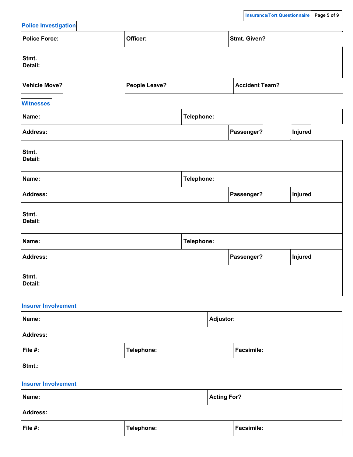| <b>Police Investigation</b> |                      |            |                    | --- <del>------</del> ---- <del>---</del> |         |
|-----------------------------|----------------------|------------|--------------------|-------------------------------------------|---------|
| <b>Police Force:</b>        | Officer:             |            |                    | <b>Stmt. Given?</b>                       |         |
| Stmt.<br>Detail:            |                      |            |                    |                                           |         |
| <b>Vehicle Move?</b>        | <b>People Leave?</b> |            |                    | <b>Accident Team?</b>                     |         |
| <b>Witnesses</b>            |                      |            |                    |                                           |         |
| Name:                       |                      | Telephone: |                    |                                           |         |
| <b>Address:</b>             |                      |            |                    | Passenger?                                | Injured |
| Stmt.<br>Detail:            |                      |            |                    |                                           |         |
| Name:                       |                      | Telephone: |                    |                                           |         |
| <b>Address:</b>             |                      |            |                    | Passenger?                                | Injured |
| Stmt.<br>Detail:            |                      |            |                    |                                           |         |
| Name:                       |                      | Telephone: |                    |                                           |         |
| <b>Address:</b>             |                      |            |                    | Passenger?                                | Injured |
| Stmt.<br>Detail:            |                      |            |                    |                                           |         |
| <b>Insurer Involvement</b>  |                      |            |                    |                                           |         |
| Name:                       |                      |            | <b>Adjustor:</b>   |                                           |         |
| <b>Address:</b>             |                      |            |                    |                                           |         |
| File #:                     | Telephone:           |            |                    | <b>Facsimile:</b>                         |         |
| Stmt.:                      |                      |            |                    |                                           |         |
| <b>Insurer Involvement</b>  |                      |            |                    |                                           |         |
| Name:                       |                      |            | <b>Acting For?</b> |                                           |         |
| <b>Address:</b>             |                      |            |                    |                                           |         |
| File #:                     | Telephone:           |            |                    | Facsimile:                                |         |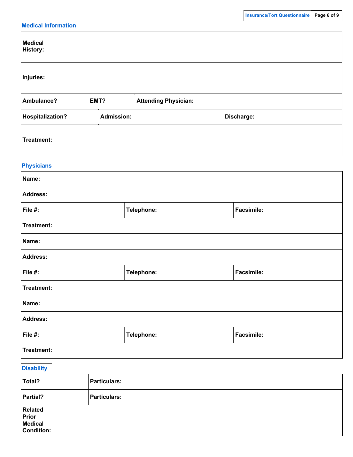|                                                                |                     |                             | $\mathbf{I}$      |  |
|----------------------------------------------------------------|---------------------|-----------------------------|-------------------|--|
| <b>Medical Information</b>                                     |                     |                             |                   |  |
| <b>Medical</b><br><b>History:</b>                              |                     |                             |                   |  |
| Injuries:                                                      |                     |                             |                   |  |
| Ambulance?                                                     | EMT?                | <b>Attending Physician:</b> |                   |  |
| <b>Hospitalization?</b>                                        | <b>Admission:</b>   |                             | Discharge:        |  |
| Treatment:                                                     |                     |                             |                   |  |
| <b>Physicians</b>                                              |                     |                             |                   |  |
| Name:                                                          |                     |                             |                   |  |
| <b>Address:</b>                                                |                     |                             |                   |  |
| File #:                                                        |                     | Telephone:                  | <b>Facsimile:</b> |  |
| Treatment:                                                     |                     |                             |                   |  |
| Name:                                                          |                     |                             |                   |  |
| <b>Address:</b>                                                |                     |                             |                   |  |
| File #:                                                        |                     | Telephone:                  | Facsimile:        |  |
| Treatment:                                                     |                     |                             |                   |  |
| Name:                                                          |                     |                             |                   |  |
| <b>Address:</b>                                                |                     |                             |                   |  |
| File #:                                                        |                     | Telephone:                  | Facsimile:        |  |
| Treatment:                                                     |                     |                             |                   |  |
| <b>Disability</b>                                              |                     |                             |                   |  |
| Total?                                                         | <b>Particulars:</b> |                             |                   |  |
| Partial?                                                       | <b>Particulars:</b> |                             |                   |  |
| <b>Related</b><br>Prior<br><b>Medical</b><br><b>Condition:</b> |                     |                             |                   |  |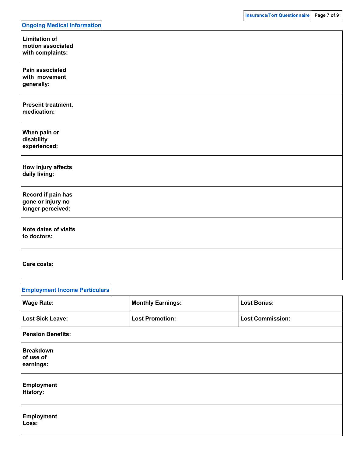| <b>Ongoing Medical Information</b>                            |
|---------------------------------------------------------------|
| <b>Limitation of</b><br>motion associated<br>with complaints: |
| Pain associated<br>with movement<br>generally:                |
| Present treatment,<br>medication:                             |
| When pain or<br>disability<br>experienced:                    |
| How injury affects<br>daily living:                           |
| Record if pain has<br>gone or injury no<br>longer perceived:  |
| <b>Note dates of visits</b><br>to doctors:                    |
| Care costs:                                                   |

| <b>Employment Income Particulars</b>       |                          |                         |
|--------------------------------------------|--------------------------|-------------------------|
| <b>Wage Rate:</b>                          | <b>Monthly Earnings:</b> | <b>Lost Bonus:</b>      |
| <b>Lost Sick Leave:</b>                    | <b>Lost Promotion:</b>   | <b>Lost Commission:</b> |
| <b>Pension Benefits:</b>                   |                          |                         |
| <b>Breakdown</b><br>of use of<br>earnings: |                          |                         |
| <b>Employment</b><br><b>History:</b>       |                          |                         |
| <b>Employment</b><br>Loss:                 |                          |                         |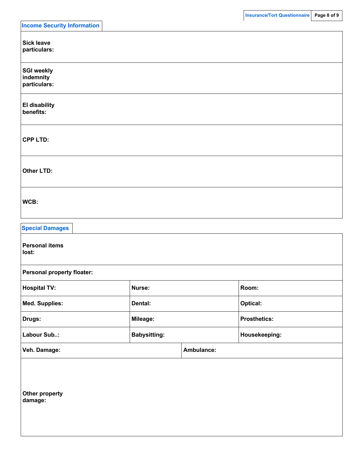| <b>Income Security Information</b>             |                     |            |                     |  |
|------------------------------------------------|---------------------|------------|---------------------|--|
| <b>Sick leave</b><br>particulars:              |                     |            |                     |  |
| <b>SGI weekly</b><br>indemnity<br>particulars: |                     |            |                     |  |
| <b>El disability</b><br>benefits:              |                     |            |                     |  |
| <b>CPP LTD:</b>                                |                     |            |                     |  |
| <b>Other LTD:</b>                              |                     |            |                     |  |
| WCB:                                           |                     |            |                     |  |
| <b>Special Damages</b>                         |                     |            |                     |  |
| <b>Personal items</b><br>lost:                 |                     |            |                     |  |
| Personal property floater:                     |                     |            |                     |  |
| <b>Hospital TV:</b>                            | Nurse:              |            | Room:               |  |
| <b>Med. Supplies:</b>                          | Dental:             |            | <b>Optical:</b>     |  |
| Drugs:                                         | Mileage:            |            | <b>Prosthetics:</b> |  |
| Labour Sub:                                    | <b>Babysitting:</b> |            | Housekeeping:       |  |
| Veh. Damage:                                   |                     | Ambulance: |                     |  |
| Other property<br>damage:                      |                     |            |                     |  |